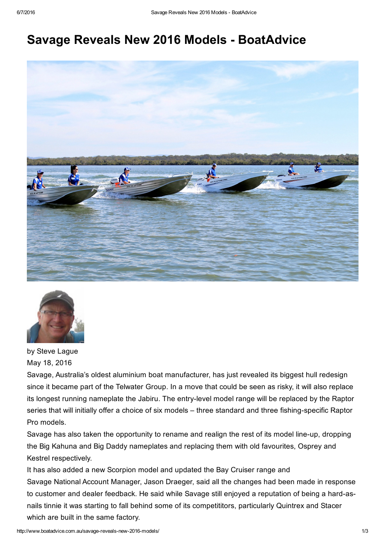# Savage Reveals New 2016 Models - BoatAdvice





by Steve Lague May 18, 2016

Savage, Australia's oldest aluminium boat manufacturer, has just revealed its biggest hull redesign since it became part of the Telwater Group. In a move that could be seen as risky, it will also replace its longest running nameplate the Jabiru. The entry-level model range will be replaced by the Raptor series that will initially offer a choice of six models – three standard and three fishing-specific Raptor Pro models.

Savage has also taken the opportunity to rename and realign the rest of its model line-up, dropping the Big Kahuna and Big Daddy nameplates and replacing them with old favourites, Osprey and Kestrel respectively.

It has also added a new Scorpion model and updated the Bay Cruiser range and Savage National Account Manager, Jason Draeger, said all the changes had been made in response to customer and dealer feedback. He said while Savage still enjoyed a reputation of being a hard-asnails tinnie it was starting to fall behind some of its competititors, particularly Quintrex and Stacer which are built in the same factory.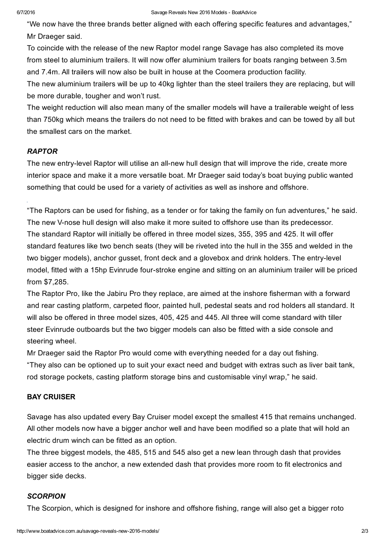#### 6/7/2016 Savage Reveals New 2016 Models BoatAdvice

"We now have the three brands better aligned with each offering specific features and advantages," Mr Draeger said.

To coincide with the release of the new Raptor model range Savage has also completed its move from steel to aluminium trailers. It will now offer aluminium trailers for boats ranging between 3.5m and 7.4m. All trailers will now also be built in house at the Coomera production facility.

The new aluminium trailers will be up to 40kg lighter than the steel trailers they are replacing, but will be more durable, tougher and won't rust.

The weight reduction will also mean many of the smaller models will have a trailerable weight of less than 750kg which means the trailers do not need to be fitted with brakes and can be towed by all but the smallest cars on the market.

### *RAPTOR*

The new entry-level Raptor will utilise an all-new hull design that will improve the ride, create more interior space and make it a more versatile boat. Mr Draeger said today's boat buying public wanted something that could be used for a variety of activities as well as inshore and offshore.

"The Raptors can be used for fishing, as a tender or for taking the family on fun adventures," he said. The new V-nose hull design will also make it more suited to offshore use than its predecessor. The standard Raptor will initially be offered in three model sizes, 355, 395 and 425. It will offer standard features like two bench seats (they will be riveted into the hull in the 355 and welded in the two bigger models), anchor gusset, front deck and a glovebox and drink holders. The entry-level model, fitted with a 15hp Evinrude four-stroke engine and sitting on an aluminium trailer will be priced from \$7,285.

The Raptor Pro, like the Jabiru Pro they replace, are aimed at the inshore fisherman with a forward and rear casting platform, carpeted floor, painted hull, pedestal seats and rod holders all standard. It will also be offered in three model sizes, 405, 425 and 445. All three will come standard with tiller steer Evinrude outboards but the two bigger models can also be fitted with a side console and steering wheel.

Mr Draeger said the Raptor Pro would come with everything needed for a day out fishing. "They also can be optioned up to suit your exact need and budget with extras such as liver bait tank, rod storage pockets, casting platform storage bins and customisable vinyl wrap," he said.

## BAY CRUISER

Savage has also updated every Bay Cruiser model except the smallest 415 that remains unchanged. All other models now have a bigger anchor well and have been modified so a plate that will hold an electric drum winch can be fitted as an option.

The three biggest models, the 485, 515 and 545 also get a new lean through dash that provides easier access to the anchor, a new extended dash that provides more room to fit electronics and bigger side decks.

### *SCORPION*

The Scorpion, which is designed for inshore and offshore fishing, range will also get a bigger roto